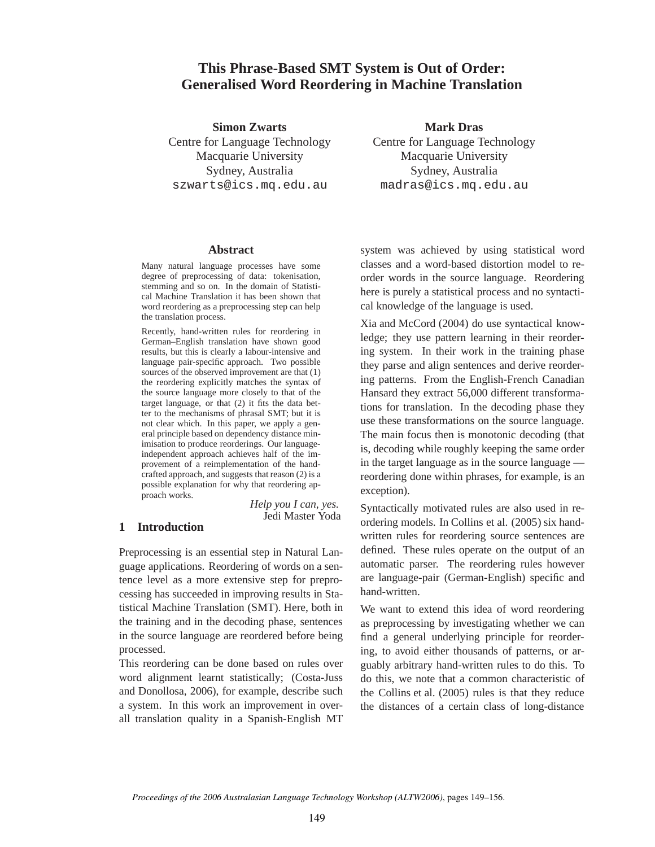## **This Phrase-Based SMT System is Out of Order: Generalised Word Reordering in Machine Translation**

**Simon Zwarts** Centre for Language Technology Macquarie University Sydney, Australia szwarts@ics.mq.edu.au

**Mark Dras**

Centre for Language Technology Macquarie University Sydney, Australia madras@ics.mq.edu.au

#### **Abstract**

Many natural language processes have some degree of preprocessing of data: tokenisation, stemming and so on. In the domain of Statistical Machine Translation it has been shown that word reordering as a preprocessing step can help the translation process.

Recently, hand-written rules for reordering in German–English translation have shown good results, but this is clearly a labour-intensive and language pair-specific approach. Two possible sources of the observed improvement are that (1) the reordering explicitly matches the syntax of the source language more closely to that of the target language, or that (2) it fits the data better to the mechanisms of phrasal SMT; but it is not clear which. In this paper, we apply a general principle based on dependency distance minimisation to produce reorderings. Our languageindependent approach achieves half of the improvement of a reimplementation of the handcrafted approach, and suggests that reason (2) is a possible explanation for why that reordering approach works.

*Help you I can, yes.* Jedi Master Yoda

## **1 Introduction**

Preprocessing is an essential step in Natural Language applications. Reordering of words on a sentence level as a more extensive step for preprocessing has succeeded in improving results in Statistical Machine Translation (SMT). Here, both in the training and in the decoding phase, sentences in the source language are reordered before being processed.

This reordering can be done based on rules over word alignment learnt statistically; (Costa-Juss and Donollosa, 2006), for example, describe such a system. In this work an improvement in overall translation quality in a Spanish-English MT system was achieved by using statistical word classes and a word-based distortion model to reorder words in the source language. Reordering here is purely a statistical process and no syntactical knowledge of the language is used.

Xia and McCord (2004) do use syntactical knowledge; they use pattern learning in their reordering system. In their work in the training phase they parse and align sentences and derive reordering patterns. From the English-French Canadian Hansard they extract 56,000 different transformations for translation. In the decoding phase they use these transformations on the source language. The main focus then is monotonic decoding (that is, decoding while roughly keeping the same order in the target language as in the source language reordering done within phrases, for example, is an exception).

Syntactically motivated rules are also used in reordering models. In Collins et al. (2005) six handwritten rules for reordering source sentences are defined. These rules operate on the output of an automatic parser. The reordering rules however are language-pair (German-English) specific and hand-written.

We want to extend this idea of word reordering as preprocessing by investigating whether we can find a general underlying principle for reordering, to avoid either thousands of patterns, or arguably arbitrary hand-written rules to do this. To do this, we note that a common characteristic of the Collins et al. (2005) rules is that they reduce the distances of a certain class of long-distance

*Proceedings of the 2006 Australasian Language Technology Workshop (ALTW2006)*, pages 149–156.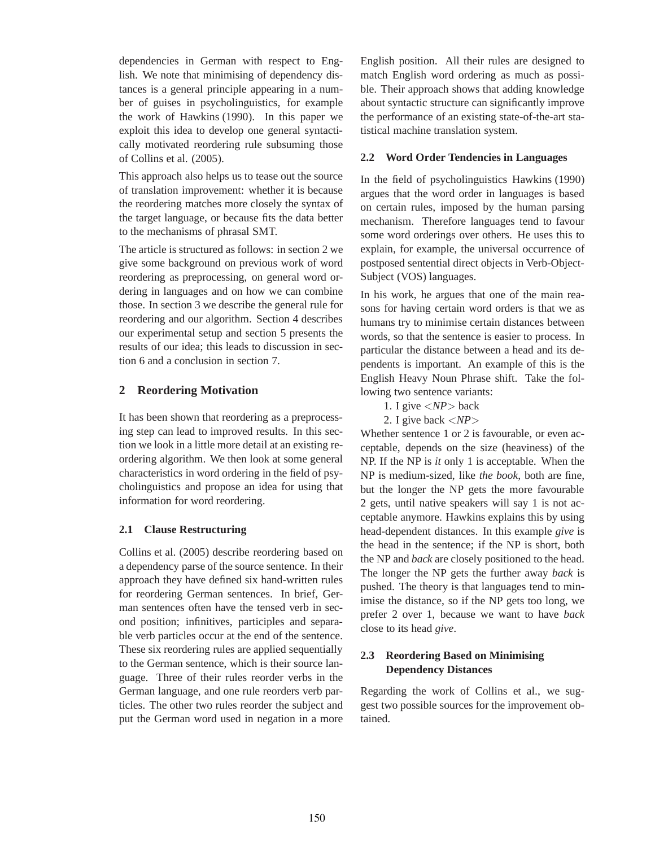dependencies in German with respect to English. We note that minimising of dependency distances is a general principle appearing in a number of guises in psycholinguistics, for example the work of Hawkins (1990). In this paper we exploit this idea to develop one general syntactically motivated reordering rule subsuming those of Collins et al. (2005).

This approach also helps us to tease out the source of translation improvement: whether it is because the reordering matches more closely the syntax of the target language, or because fits the data better to the mechanisms of phrasal SMT.

The article is structured as follows: in section 2 we give some background on previous work of word reordering as preprocessing, on general word ordering in languages and on how we can combine those. In section 3 we describe the general rule for reordering and our algorithm. Section 4 describes our experimental setup and section 5 presents the results of our idea; this leads to discussion in section 6 and a conclusion in section 7.

## **2 Reordering Motivation**

It has been shown that reordering as a preprocessing step can lead to improved results. In this section we look in a little more detail at an existing reordering algorithm. We then look at some general characteristics in word ordering in the field of psycholinguistics and propose an idea for using that information for word reordering.

## **2.1 Clause Restructuring**

Collins et al. (2005) describe reordering based on a dependency parse of the source sentence. In their approach they have defined six hand-written rules for reordering German sentences. In brief, German sentences often have the tensed verb in second position; infinitives, participles and separable verb particles occur at the end of the sentence. These six reordering rules are applied sequentially to the German sentence, which is their source language. Three of their rules reorder verbs in the German language, and one rule reorders verb particles. The other two rules reorder the subject and put the German word used in negation in a more English position. All their rules are designed to match English word ordering as much as possible. Their approach shows that adding knowledge about syntactic structure can significantly improve the performance of an existing state-of-the-art statistical machine translation system.

#### **2.2 Word Order Tendencies in Languages**

In the field of psycholinguistics Hawkins (1990) argues that the word order in languages is based on certain rules, imposed by the human parsing mechanism. Therefore languages tend to favour some word orderings over others. He uses this to explain, for example, the universal occurrence of postposed sentential direct objects in Verb-Object-Subject (VOS) languages.

In his work, he argues that one of the main reasons for having certain word orders is that we as humans try to minimise certain distances between words, so that the sentence is easier to process. In particular the distance between a head and its dependents is important. An example of this is the English Heavy Noun Phrase shift. Take the following two sentence variants:

- 1. I give <*NP*> back
- 2. I give back <*NP*>

Whether sentence 1 or 2 is favourable, or even acceptable, depends on the size (heaviness) of the NP. If the NP is *it* only 1 is acceptable. When the NP is medium-sized, like *the book*, both are fine, but the longer the NP gets the more favourable 2 gets, until native speakers will say 1 is not acceptable anymore. Hawkins explains this by using head-dependent distances. In this example *give* is the head in the sentence; if the NP is short, both the NP and *back* are closely positioned to the head. The longer the NP gets the further away *back* is pushed. The theory is that languages tend to minimise the distance, so if the NP gets too long, we prefer 2 over 1, because we want to have *back* close to its head *give*.

## **2.3 Reordering Based on Minimising Dependency Distances**

Regarding the work of Collins et al., we suggest two possible sources for the improvement obtained.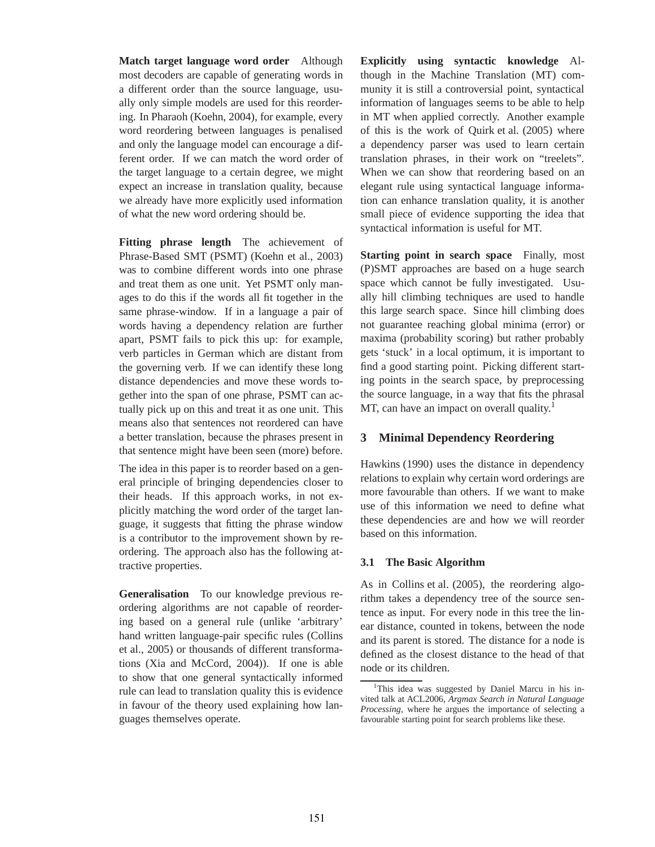**Match target language word order** Although most decoders are capable of generating words in a different order than the source language, usually only simple models are used for this reordering. In Pharaoh (Koehn, 2004), for example, every word reordering between languages is penalised and only the language model can encourage a different order. If we can match the word order of the target language to a certain degree, we might expect an increase in translation quality, because we already have more explicitly used information of what the new word ordering should be.

**Fitting phrase length** The achievement of Phrase-Based SMT (PSMT) (Koehn et al., 2003) was to combine different words into one phrase and treat them as one unit. Yet PSMT only manages to do this if the words all fit together in the same phrase-window. If in a language a pair of words having a dependency relation are further apart, PSMT fails to pick this up: for example, verb particles in German which are distant from the governing verb. If we can identify these long distance dependencies and move these words together into the span of one phrase, PSMT can actually pick up on this and treat it as one unit. This means also that sentences not reordered can have a better translation, because the phrases present in that sentence might have been seen (more) before.

The idea in this paper is to reorder based on a general principle of bringing dependencies closer to their heads. If this approach works, in not explicitly matching the word order of the target language, it suggests that fitting the phrase window is a contributor to the improvement shown by reordering. The approach also has the following attractive properties.

**Generalisation** To our knowledge previous reordering algorithms are not capable of reordering based on a general rule (unlike 'arbitrary' hand written language-pair specific rules (Collins et al., 2005) or thousands of different transformations (Xia and McCord, 2004)). If one is able to show that one general syntactically informed rule can lead to translation quality this is evidence in favour of the theory used explaining how languages themselves operate.

**Explicitly using syntactic knowledge** Although in the Machine Translation (MT) community it is still a controversial point, syntactical information of languages seems to be able to help in MT when applied correctly. Another example of this is the work of Quirk et al. (2005) where a dependency parser was used to learn certain translation phrases, in their work on "treelets". When we can show that reordering based on an elegant rule using syntactical language information can enhance translation quality, it is another small piece of evidence supporting the idea that syntactical information is useful for MT.

**Starting point in search space** Finally, most (P)SMT approaches are based on a huge search space which cannot be fully investigated. Usually hill climbing techniques are used to handle this large search space. Since hill climbing does not guarantee reaching global minima (error) or maxima (probability scoring) but rather probably gets 'stuck' in a local optimum, it is important to find a good starting point. Picking different starting points in the search space, by preprocessing the source language, in a way that fits the phrasal MT, can have an impact on overall quality.<sup>1</sup>

## **3 Minimal Dependency Reordering**

Hawkins (1990) uses the distance in dependency relations to explain why certain word orderings are more favourable than others. If we want to make use of this information we need to define what these dependencies are and how we will reorder based on this information.

#### **3.1 The Basic Algorithm**

As in Collins et al. (2005), the reordering algorithm takes a dependency tree of the source sentence as input. For every node in this tree the linear distance, counted in tokens, between the node and its parent is stored. The distance for a node is defined as the closest distance to the head of that node or its children.

<sup>&</sup>lt;sup>1</sup>This idea was suggested by Daniel Marcu in his invited talk at ACL2006, *Argmax Search in Natural Language Processing*, where he argues the importance of selecting a favourable starting point for search problems like these.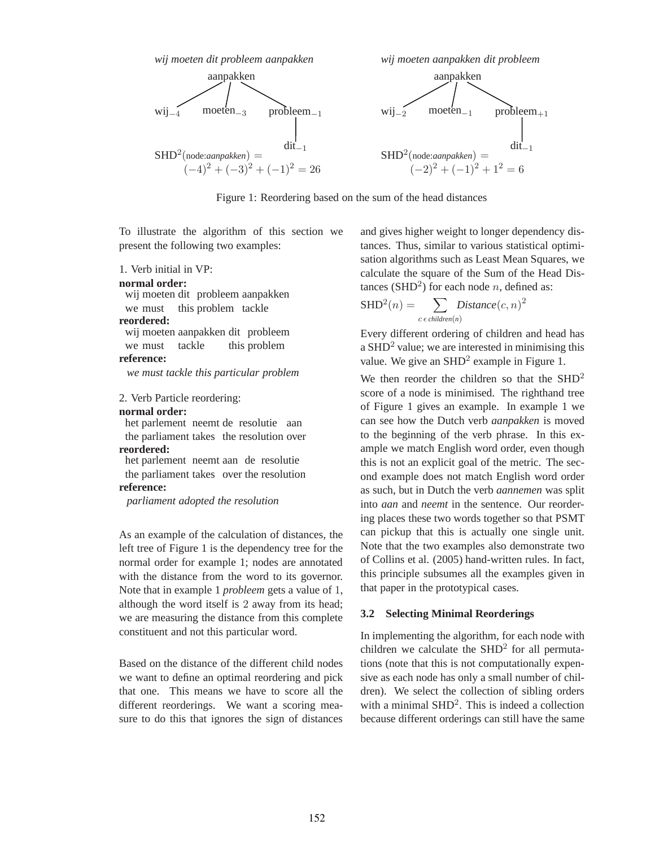

Figure 1: Reordering based on the sum of the head distances

To illustrate the algorithm of this section we present the following two examples:

1. Verb initial in VP:

```
normal order:
```
wij moeten dit probleem aanpakken we must this problem tackle **reordered:**

wij moeten aanpakken dit probleem we must tackle this problem

#### **reference:**

*we must tackle this particular problem*

2. Verb Particle reordering:

#### **normal order:**

het parlement neemt de resolutie aan the parliament takes the resolution over **reordered:** het parlement neemt aan de resolutie

the parliament takes over the resolution **reference:**

*parliament adopted the resolution*

As an example of the calculation of distances, the left tree of Figure 1 is the dependency tree for the normal order for example 1; nodes are annotated with the distance from the word to its governor. Note that in example 1 *probleem* gets a value of 1, although the word itself is 2 away from its head; we are measuring the distance from this complete constituent and not this particular word.

Based on the distance of the different child nodes we want to define an optimal reordering and pick that one. This means we have to score all the different reorderings. We want a scoring measure to do this that ignores the sign of distances and gives higher weight to longer dependency distances. Thus, similar to various statistical optimisation algorithms such as Least Mean Squares, we calculate the square of the Sum of the Head Distances (SHD<sup>2</sup>) for each node *n*, defined as:

$$
SHD2(n) = \sum_{c \in children(n)} Distance(c, n)2
$$

Every different ordering of children and head has a  $SHD<sup>2</sup>$  value; we are interested in minimising this value. We give an  $SHD<sup>2</sup>$  example in Figure 1.

We then reorder the children so that the  $SHD<sup>2</sup>$ score of a node is minimised. The righthand tree of Figure 1 gives an example. In example 1 we can see how the Dutch verb *aanpakken* is moved to the beginning of the verb phrase. In this example we match English word order, even though this is not an explicit goal of the metric. The second example does not match English word order as such, but in Dutch the verb *aannemen* was split into *aan* and *neemt* in the sentence. Our reordering places these two words together so that PSMT can pickup that this is actually one single unit. Note that the two examples also demonstrate two of Collins et al. (2005) hand-written rules. In fact, this principle subsumes all the examples given in that paper in the prototypical cases.

#### **3.2 Selecting Minimal Reorderings**

In implementing the algorithm, for each node with children we calculate the  $SHD<sup>2</sup>$  for all permutations (note that this is not computationally expensive as each node has only a small number of children). We select the collection of sibling orders with a minimal  $SHD<sup>2</sup>$ . This is indeed a collection because different orderings can still have the same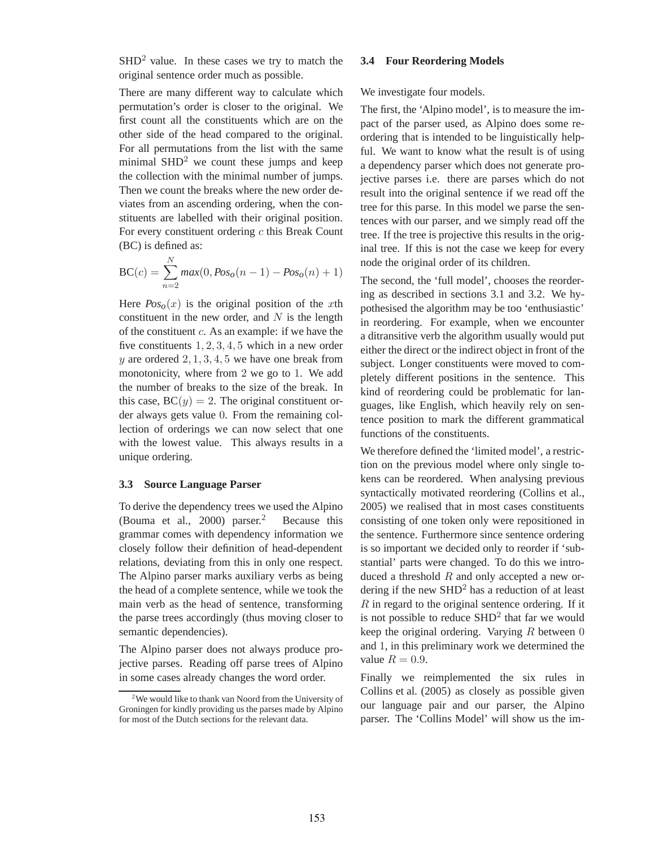$SHD<sup>2</sup>$  value. In these cases we try to match the original sentence order much as possible.

There are many different way to calculate which permutation's order is closer to the original. We first count all the constituents which are on the other side of the head compared to the original. For all permutations from the list with the same minimal  $SHD<sup>2</sup>$  we count these jumps and keep the collection with the minimal number of jumps. Then we count the breaks where the new order deviates from an ascending ordering, when the constituents are labelled with their original position. For every constituent ordering c this Break Count (BC) is defined as:

$$
BC(c) = \sum_{n=2}^{N} max(0, Pos_o(n-1) - Pos_o(n) + 1)
$$

Here  $Pos<sub>o</sub>(x)$  is the original position of the xth constituent in the new order, and  $N$  is the length of the constituent c. As an example: if we have the five constituents 1, 2, 3, 4, 5 which in a new order y are ordered  $2, 1, 3, 4, 5$  we have one break from monotonicity, where from 2 we go to 1. We add the number of breaks to the size of the break. In this case,  $BC(y) = 2$ . The original constituent order always gets value 0. From the remaining collection of orderings we can now select that one with the lowest value. This always results in a unique ordering.

#### **3.3 Source Language Parser**

To derive the dependency trees we used the Alpino (Bouma et al., 2000) parser.<sup>2</sup> Because this grammar comes with dependency information we closely follow their definition of head-dependent relations, deviating from this in only one respect. The Alpino parser marks auxiliary verbs as being the head of a complete sentence, while we took the main verb as the head of sentence, transforming the parse trees accordingly (thus moving closer to semantic dependencies).

The Alpino parser does not always produce projective parses. Reading off parse trees of Alpino in some cases already changes the word order.

#### **3.4 Four Reordering Models**

#### We investigate four models.

The first, the 'Alpino model', is to measure the impact of the parser used, as Alpino does some reordering that is intended to be linguistically helpful. We want to know what the result is of using a dependency parser which does not generate projective parses i.e. there are parses which do not result into the original sentence if we read off the tree for this parse. In this model we parse the sentences with our parser, and we simply read off the tree. If the tree is projective this results in the original tree. If this is not the case we keep for every node the original order of its children.

The second, the 'full model', chooses the reordering as described in sections 3.1 and 3.2. We hypothesised the algorithm may be too 'enthusiastic' in reordering. For example, when we encounter a ditransitive verb the algorithm usually would put either the direct or the indirect object in front of the subject. Longer constituents were moved to completely different positions in the sentence. This kind of reordering could be problematic for languages, like English, which heavily rely on sentence position to mark the different grammatical functions of the constituents.

We therefore defined the 'limited model', a restriction on the previous model where only single tokens can be reordered. When analysing previous syntactically motivated reordering (Collins et al., 2005) we realised that in most cases constituents consisting of one token only were repositioned in the sentence. Furthermore since sentence ordering is so important we decided only to reorder if 'substantial' parts were changed. To do this we introduced a threshold  $R$  and only accepted a new ordering if the new  $SHD<sup>2</sup>$  has a reduction of at least  $R$  in regard to the original sentence ordering. If it is not possible to reduce  $SHD<sup>2</sup>$  that far we would keep the original ordering. Varying  $R$  between  $0$ and 1, in this preliminary work we determined the value  $R = 0.9$ .

Finally we reimplemented the six rules in Collins et al. (2005) as closely as possible given our language pair and our parser, the Alpino parser. The 'Collins Model' will show us the im-

<sup>&</sup>lt;sup>2</sup>We would like to thank van Noord from the University of Groningen for kindly providing us the parses made by Alpino for most of the Dutch sections for the relevant data.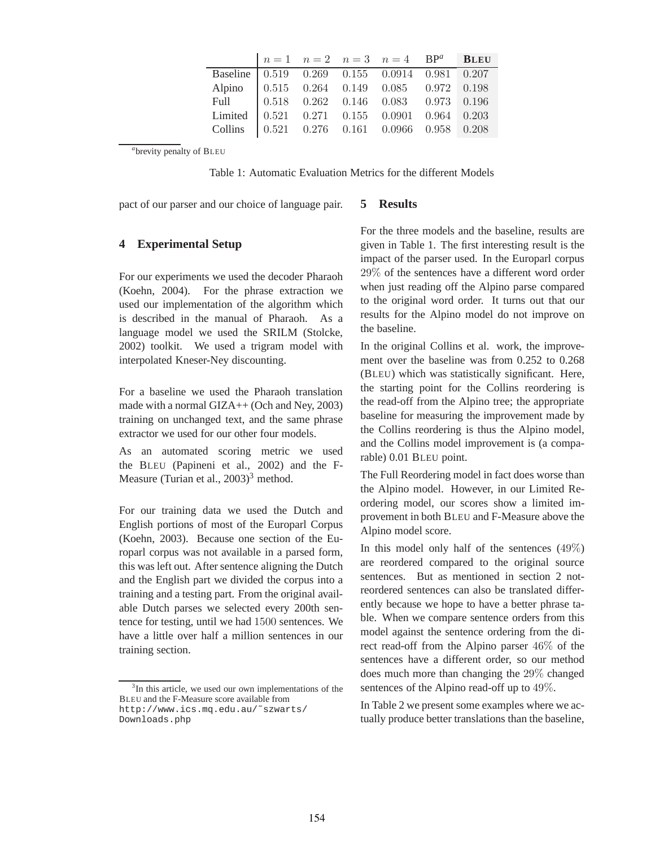|                                                                                                                                                                                                                                                                                                             |  | $n=1$ $n=2$ $n=3$ $n=4$ BP <sup>a</sup> BLEU |  |
|-------------------------------------------------------------------------------------------------------------------------------------------------------------------------------------------------------------------------------------------------------------------------------------------------------------|--|----------------------------------------------|--|
|                                                                                                                                                                                                                                                                                                             |  |                                              |  |
|                                                                                                                                                                                                                                                                                                             |  |                                              |  |
|                                                                                                                                                                                                                                                                                                             |  |                                              |  |
|                                                                                                                                                                                                                                                                                                             |  |                                              |  |
| $\begin{tabular}{l cccccc} Baseline & 0.519 & 0.269 & 0.155 & 0.0914 & 0.981 & 0.207 \\ Alpino & 0.515 & 0.264 & 0.149 & 0.085 & 0.972 & 0.198 \\ Full & 0.518 & 0.262 & 0.146 & 0.083 & 0.973 & 0.196 \\ Limited & 0.521 & 0.271 & 0.155 & 0.0901 & 0.964 & 0.203 \\Collins & 0.521 & 0.276 & 0.161 & 0.0$ |  |                                              |  |

*a* brevity penalty of BLEU

Table 1: Automatic Evaluation Metrics for the different Models

pact of our parser and our choice of language pair.

# **4 Experimental Setup**

For our experiments we used the decoder Pharaoh (Koehn, 2004). For the phrase extraction we used our implementation of the algorithm which is described in the manual of Pharaoh. As a language model we used the SRILM (Stolcke, 2002) toolkit. We used a trigram model with interpolated Kneser-Ney discounting.

For a baseline we used the Pharaoh translation made with a normal GIZA++ (Och and Ney, 2003) training on unchanged text, and the same phrase extractor we used for our other four models.

As an automated scoring metric we used the BLEU (Papineni et al., 2002) and the F-Measure (Turian et al.,  $2003$ )<sup>3</sup> method.

For our training data we used the Dutch and English portions of most of the Europarl Corpus (Koehn, 2003). Because one section of the Europarl corpus was not available in a parsed form, this was left out. After sentence aligning the Dutch and the English part we divided the corpus into a training and a testing part. From the original available Dutch parses we selected every 200th sentence for testing, until we had 1500 sentences. We have a little over half a million sentences in our training section.

#### **5 Results**

For the three models and the baseline, results are given in Table 1. The first interesting result is the impact of the parser used. In the Europarl corpus 29% of the sentences have a different word order when just reading off the Alpino parse compared to the original word order. It turns out that our results for the Alpino model do not improve on the baseline.

In the original Collins et al. work, the improvement over the baseline was from 0.252 to 0.268 (BLEU) which was statistically significant. Here, the starting point for the Collins reordering is the read-off from the Alpino tree; the appropriate baseline for measuring the improvement made by the Collins reordering is thus the Alpino model, and the Collins model improvement is (a comparable) 0.01 BLEU point.

The Full Reordering model in fact does worse than the Alpino model. However, in our Limited Reordering model, our scores show a limited improvement in both BLEU and F-Measure above the Alpino model score.

In this model only half of the sentences  $(49\%)$ are reordered compared to the original source sentences. But as mentioned in section 2 notreordered sentences can also be translated differently because we hope to have a better phrase table. When we compare sentence orders from this model against the sentence ordering from the direct read-off from the Alpino parser 46% of the sentences have a different order, so our method does much more than changing the 29% changed sentences of the Alpino read-off up to 49%.

In Table 2 we present some examples where we actually produce better translations than the baseline,

<sup>&</sup>lt;sup>3</sup>In this article, we used our own implementations of the BLEU and the F-Measure score available from http://www.ics.mq.edu.au/˜szwarts/ Downloads.php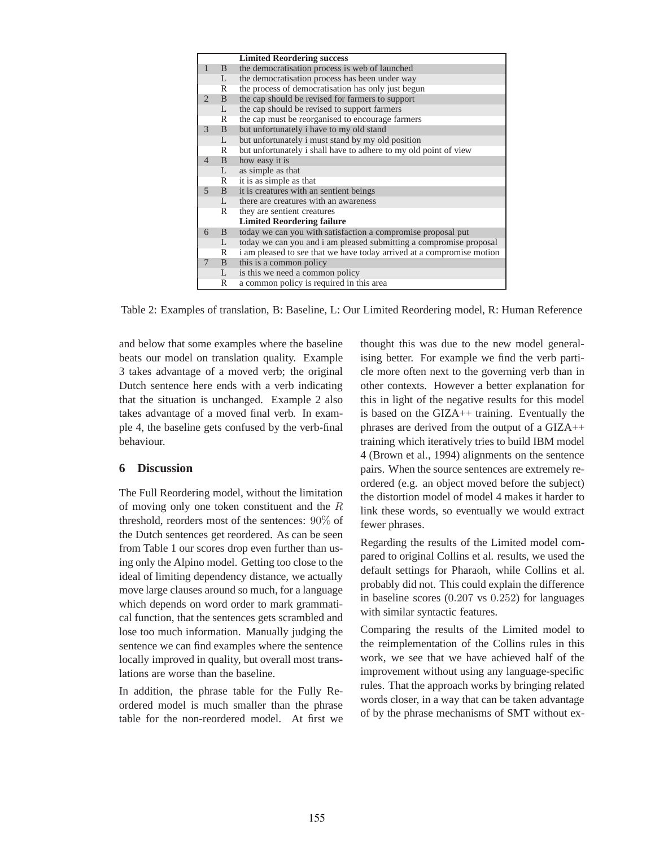|                |              | <b>Limited Reordering success</b>                                     |
|----------------|--------------|-----------------------------------------------------------------------|
| $\mathbf{1}$   | $\mathbf{B}$ | the democratisation process is web of launched                        |
|                | L            | the democratisation process has been under way                        |
|                | R            | the process of democratisation has only just begun                    |
| 2              | B            | the cap should be revised for farmers to support                      |
|                | L            | the cap should be revised to support farmers                          |
|                | R            | the cap must be reorganised to encourage farmers                      |
| 3              | B            | but unfortunately i have to my old stand                              |
|                | L            | but unfortunately i must stand by my old position                     |
|                | R            | but unfortunately i shall have to adhere to my old point of view      |
| $\overline{4}$ | B            | how easy it is                                                        |
|                | L            | as simple as that                                                     |
|                | $\mathbb{R}$ | it is as simple as that                                               |
| $\overline{5}$ | B            | it is creatures with an sentient beings                               |
|                | L.           | there are creatures with an awareness                                 |
|                | R            | they are sentient creatures                                           |
|                |              | <b>Limited Reordering failure</b>                                     |
| 6              | B            | today we can you with satisfaction a compromise proposal put          |
|                | L            | today we can you and i am pleased submitting a compromise proposal    |
|                | R            | i am pleased to see that we have today arrived at a compromise motion |
| 7              | $\mathbf{B}$ | this is a common policy                                               |
|                | L            | is this we need a common policy                                       |
|                | R            | a common policy is required in this area                              |

Table 2: Examples of translation, B: Baseline, L: Our Limited Reordering model, R: Human Reference

and below that some examples where the baseline beats our model on translation quality. Example 3 takes advantage of a moved verb; the original Dutch sentence here ends with a verb indicating that the situation is unchanged. Example 2 also takes advantage of a moved final verb. In example 4, the baseline gets confused by the verb-final behaviour.

### **6 Discussion**

The Full Reordering model, without the limitation of moving only one token constituent and the R threshold, reorders most of the sentences: 90% of the Dutch sentences get reordered. As can be seen from Table 1 our scores drop even further than using only the Alpino model. Getting too close to the ideal of limiting dependency distance, we actually move large clauses around so much, for a language which depends on word order to mark grammatical function, that the sentences gets scrambled and lose too much information. Manually judging the sentence we can find examples where the sentence locally improved in quality, but overall most translations are worse than the baseline.

In addition, the phrase table for the Fully Reordered model is much smaller than the phrase table for the non-reordered model. At first we thought this was due to the new model generalising better. For example we find the verb particle more often next to the governing verb than in other contexts. However a better explanation for this in light of the negative results for this model is based on the GIZA++ training. Eventually the phrases are derived from the output of a GIZA++ training which iteratively tries to build IBM model 4 (Brown et al., 1994) alignments on the sentence pairs. When the source sentences are extremely reordered (e.g. an object moved before the subject) the distortion model of model 4 makes it harder to link these words, so eventually we would extract fewer phrases.

Regarding the results of the Limited model compared to original Collins et al. results, we used the default settings for Pharaoh, while Collins et al. probably did not. This could explain the difference in baseline scores (0.207 vs 0.252) for languages with similar syntactic features.

Comparing the results of the Limited model to the reimplementation of the Collins rules in this work, we see that we have achieved half of the improvement without using any language-specific rules. That the approach works by bringing related words closer, in a way that can be taken advantage of by the phrase mechanisms of SMT without ex